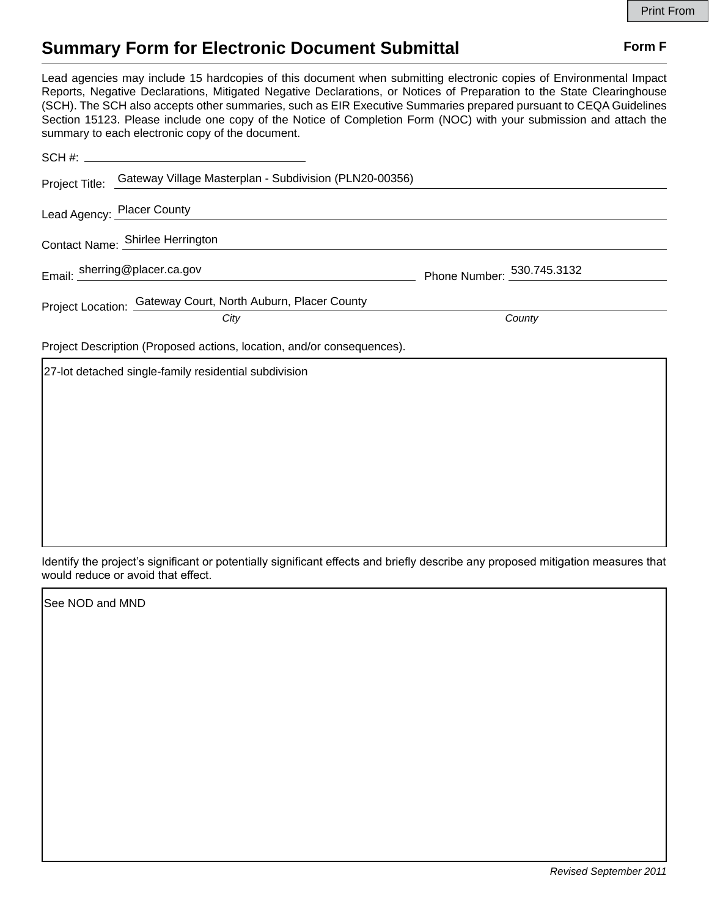## **Summary Form for Electronic Document Submittal Form F Form F**

Lead agencies may include 15 hardcopies of this document when submitting electronic copies of Environmental Impact Reports, Negative Declarations, Mitigated Negative Declarations, or Notices of Preparation to the State Clearinghouse (SCH). The SCH also accepts other summaries, such as EIR Executive Summaries prepared pursuant to CEQA Guidelines Section 15123. Please include one copy of the Notice of Completion Form (NOC) with your submission and attach the summary to each electronic copy of the document.

|                                                                        | SCH #:                                                                |                            |
|------------------------------------------------------------------------|-----------------------------------------------------------------------|----------------------------|
|                                                                        | Project Title: Gateway Village Masterplan - Subdivision (PLN20-00356) |                            |
|                                                                        | Lead Agency: Placer County                                            |                            |
| Contact Name: Shirlee Herrington                                       |                                                                       |                            |
|                                                                        | Email: sherring@placer.ca.gov                                         | Phone Number: 530.745.3132 |
|                                                                        | Project Location: Gateway Court, North Auburn, Placer County<br>City  | County                     |
| Project Description (Proposed actions, location, and/or consequences). |                                                                       |                            |
|                                                                        | 27-lot detached single-family residential subdivision                 |                            |

Identify the project's significant or potentially significant effects and briefly describe any proposed mitigation measures that would reduce or avoid that effect.

See NOD and MND